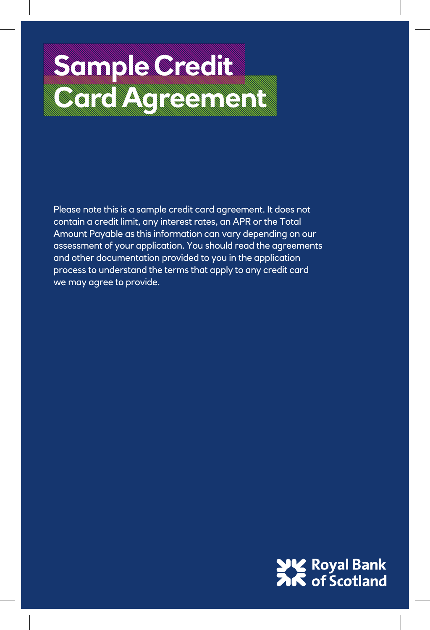# **Sample Credit Cardinal Cardinal Cardinal Cardinal Cardinal Cardinal Cardinal Cardinal Cardinal Cardinal Cardinal Cardinal Ca**

Please note this is a sample credit card agreement. It does not contain a credit limit, any interest rates, an APR or the Total Amount Payable as this information can vary depending on our assessment of your application. You should read the agreements and other documentation provided to you in the application process to understand the terms that apply to any credit card we may agree to provide.

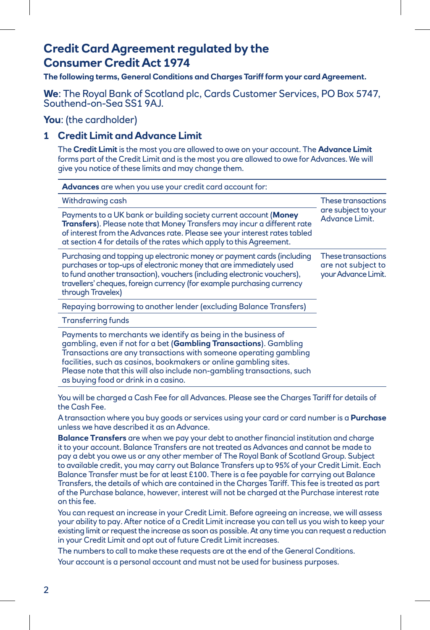### **Credit Card Agreement regulated by the Consumer Credit Act 1974**

**The following terms, General Conditions and Charges Tariff form your card Agreement.** 

## **We**: The Royal Bank of Scotland plc, Cards Customer Services, PO Box 5747,<br>Southend-on-Sea SS1 9AJ.

**You**: (the cardholder)

#### **1 Credit Limit and Advance Limit**

The **Credit Limit** is the most you are allowed to owe on your account. The **Advance Limit** forms part of the Credit Limit and is the most you are allowed to owe for Advances. We will give you notice of these limits and may change them.

| <b>Advances</b> are when you use your credit card account for:                                                                                                                                                                                                                                                                                                                                  |                                                                 |
|-------------------------------------------------------------------------------------------------------------------------------------------------------------------------------------------------------------------------------------------------------------------------------------------------------------------------------------------------------------------------------------------------|-----------------------------------------------------------------|
| Withdrawing cash                                                                                                                                                                                                                                                                                                                                                                                | These transactions                                              |
| Payments to a UK bank or building society current account (Money<br>Transfers). Please note that Money Transfers may incur a different rate<br>of interest from the Advances rate. Please see your interest rates tabled<br>at section 4 for details of the rates which apply to this Agreement.                                                                                                | are subject to your<br>Advance Limit.                           |
| Purchasing and topping up electronic money or payment cards (including<br>purchases or top-ups of electronic money that are immediately used<br>to fund another transaction), vouchers (including electronic vouchers),<br>travellers' cheques, foreign currency (for example purchasing currency<br>through Travelex)                                                                          | These transactions<br>are not subject to<br>your Advance Limit. |
| Repaying borrowing to another lender (excluding Balance Transfers)                                                                                                                                                                                                                                                                                                                              |                                                                 |
| <b>Transferring funds</b>                                                                                                                                                                                                                                                                                                                                                                       |                                                                 |
| Payments to merchants we identify as being in the business of<br>gambling, even if not for a bet (Gambling Transactions). Gambling<br>Transactions are any transactions with someone operating gambling<br>facilities, such as casinos, bookmakers or online gambling sites.<br>Please note that this will also include non-gambling transactions, such<br>as buying food or drink in a casino. |                                                                 |

You will be charged a Cash Fee for all Advances. Please see the Charges Tariff for details of the Cash Fee.

A transaction where you buy goods or services using your card or card number is a **Purchase** unless we have described it as an Advance.

**Balance Transfers** are when we pay your debt to another financial institution and charge it to your account. Balance Transfers are not treated as Advances and cannot be made to pay a debt you owe us or any other member of The Royal Bank of Scotland Group. Subject to available credit, you may carry out Balance Transfers up to 95% of your Credit Limit. Each Balance Transfer must be for at least £100. There is a fee payable for carrying out Balance Transfers, the details of which are contained in the Charges Tariff. This fee is treated as part of the Purchase balance, however, interest will not be charged at the Purchase interest rate on this fee.

You can request an increase in your Credit Limit. Before agreeing an increase, we will assess your ability to pay. After notice of a Credit Limit increase you can tell us you wish to keep your existing limit or request the increase as soon as possible. At any time you can request a reduction in your Credit Limit and opt out of future Credit Limit increases.

The numbers to call to make these requests are at the end of the General Conditions.

Your account is a personal account and must not be used for business purposes.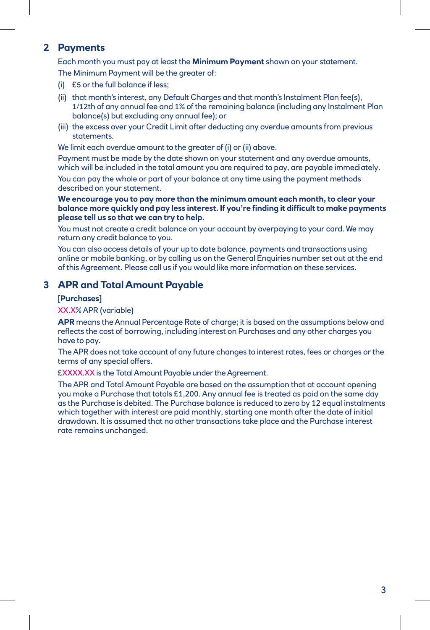#### **2 Payments**

Each month you must pay at least the **Minimum Payment** shown on your statement.

The Minimum Payment will be the greater of:

- (i) £5 or the full balance if less;
- (ii) that month's interest, any Default Charges and that month's Instalment Plan fee(s), 1/12th of any annual fee and 1% of the remaining balance (including any Instalment Plan balance(s) but excluding any annual fee); or
- (iii) the excess over your Credit Limit after deducting any overdue amounts from previous statements.

We limit each overdue amount to the greater of (i) or (ii) above.

Payment must be made by the date shown on your statement and any overdue amounts, which will be included in the total amount you are required to pay, are payable immediately. You can pay the whole or part of your balance at any time using the payment methods described on your statement.

**We encourage you to pay more than the minimum amount each month, to clear your balance more quickly and pay less interest. If you're finding it difficult to make payments please tell us so that we can try to help.**

You must not create a credit balance on your account by overpaying to your card. We may return any credit balance to you.

You can also access details of your up to date balance, payments and transactions using online or mobile banking, or by calling us on the General Enquiries number set out at the end of this Agreement. Please call us if you would like more information on these services.

#### **3 APR and Total Amount Payable**

#### **[Purchases]**

#### XX.X% APR (variable)

**APR** means the Annual Percentage Rate of charge; it is based on the assumptions below and reflects the cost of borrowing, including interest on Purchases and any other charges you have to pay.

 The APR does not take account of any future changes to interest rates, fees or charges or the terms of any special offers.

£XXXX.XX is the Total Amount Payable under the Agreement.

 The APR and Total Amount Payable are based on the assumption that at account opening you make a Purchase that totals £1,200. Any annual fee is treated as paid on the same day as the Purchase is debited. The Purchase balance is reduced to zero by 12 equal instalments which together with interest are paid monthly, starting one month after the date of initial drawdown. It is assumed that no other transactions take place and the Purchase interest rate remains unchanged.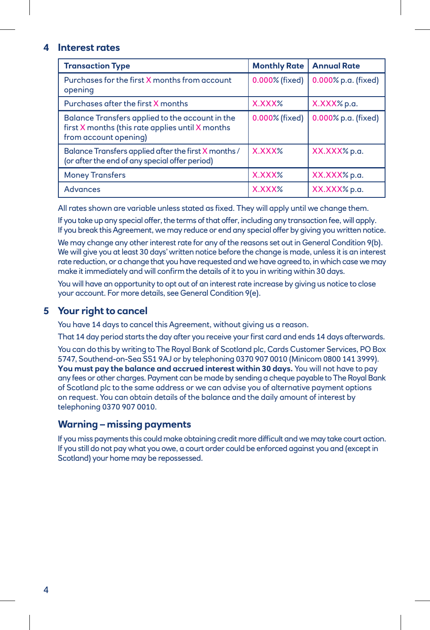#### **4 Interest rates**

| <b>Transaction Type</b>                                                                                                      | <b>Monthly Rate</b> | <b>Annual Rate</b>  |
|------------------------------------------------------------------------------------------------------------------------------|---------------------|---------------------|
| Purchases for the first X months from account<br>opening                                                                     | 0.000% (fixed)      | 0.000% p.a. (fixed) |
| Purchases after the first X months                                                                                           | X.XXX%              | X.XXX% p.a.         |
| Balance Transfers applied to the account in the<br>first X months (this rate applies until X months<br>from account opening) | 0.000% (fixed)      | 0.000% p.a. (fixed) |
| Balance Transfers applied after the first X months /<br>(or after the end of any special offer period)                       | X.XXX%              | XX.XXX% p.a.        |
| <b>Money Transfers</b>                                                                                                       | X.XXX%              | XX.XXX% p.a.        |
| <b>Advances</b>                                                                                                              | X.XXX%              | XX.XXX% p.a.        |

All rates shown are variable unless stated as fixed. They will apply until we change them.

If you take up any special offer, the terms of that offer, including any transaction fee, will apply. If you break this Agreement, we may reduce or end any special offer by giving you written notice.

We may change any other interest rate for any of the reasons set out in General Condition 9(b). We will give you at least 30 days' written notice before the change is made, unless it is an interest rate reduction, or a change that you have requested and we have agreed to, in which case we may make it immediately and will confirm the details of it to you in writing within 30 days.

You will have an opportunity to opt out of an interest rate increase by giving us notice to close your account. For more details, see General Condition 9(e).

#### **5 Your right to cancel**

You have 14 days to cancel this Agreement, without giving us a reason.

That 14 day period starts the day after you receive your first card and ends 14 days afterwards. You can do this by writing to The Royal Bank of Scotland plc, Cards Customer Services, PO Box 5747, Southend-on-Sea SS1 9AJ or by telephoning 0370 907 0010 (Minicom 0800 141 3999). **You must pay the balance and accrued interest within 30 days.** You will not have to pay any fees or other charges. Payment can be made by sending a cheque payable to The Royal Bank of Scotland plc to the same address or we can advise you of alternative payment options on request. You can obtain details of the balance and the daily amount of interest by telephoning 0370 907 0010.

#### **Warning – missing payments**

 If you miss payments this could make obtaining credit more difficult and we may take court action. If you still do not pay what you owe, a court order could be enforced against you and (except in Scotland) your home may be repossessed.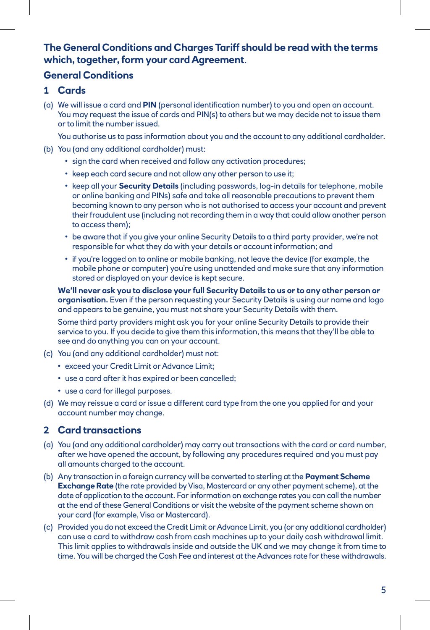#### **The General Conditions and Charges Tariff should be read with the terms which, together, form your card Agreement**.

#### **General Conditions**

- **1 Cards**
- (a) We will issue a card and **PIN** (personal identification number) to you and open an account. You may request the issue of cards and PIN(s) to others but we may decide not to issue them or to limit the number issued.

You authorise us to pass information about you and the account to any additional cardholder.

- (b) You (and any additional cardholder) must:
	- sign the card when received and follow any activation procedures;
	- keep each card secure and not allow any other person to use it;
	- keep all your **Security Details** (including passwords, log-in details for telephone, mobile or online banking and PINs) safe and take all reasonable precautions to prevent them becoming known to any person who is not authorised to access your account and prevent their fraudulent use (including not recording them in a way that could allow another person to access them);
	- be aware that if you give your online Security Details to a third party provider, we're not responsible for what they do with your details or account information; and
	- if you're logged on to online or mobile banking, not leave the device (for example, the mobile phone or computer) you're using unattended and make sure that any information stored or displayed on your device is kept secure.

**We'll never ask you to disclose your full Security Details to us or to any other person or organisation.** Even if the person requesting your Security Details is using our name and logo and appears to be genuine, you must not share your Security Details with them.

Some third party providers might ask you for your online Security Details to provide their service to you. If you decide to give them this information, this means that they'll be able to see and do anything you can on your account.

- (c) You (and any additional cardholder) must not:
	- exceed your Credit Limit or Advance Limit;
	- use a card after it has expired or been cancelled;
	- use a card for illegal purposes.
- (d) We may reissue a card or issue a different card type from the one you applied for and your account number may change.

#### **2 Card transactions**

- (a) You (and any additional cardholder) may carry out transactions with the card or card number, after we have opened the account, by following any procedures required and you must pay all amounts charged to the account.
- (b) Any transaction in a foreign currency will be converted to sterling at the **Payment Scheme Exchange Rate** (the rate provided by Visa, Mastercard or any other payment scheme), at the date of application to the account. For information on exchange rates you can call the number at the end of these General Conditions or visit the website of the payment scheme shown on your card (for example, Visa or Mastercard).
- (c) Provided you do not exceed the Credit Limit or Advance Limit, you (or any additional cardholder) can use a card to withdraw cash from cash machines up to your daily cash withdrawal limit. This limit applies to withdrawals inside and outside the UK and we may change it from time to time. You will be charged the Cash Fee and interest at the Advances rate for these withdrawals.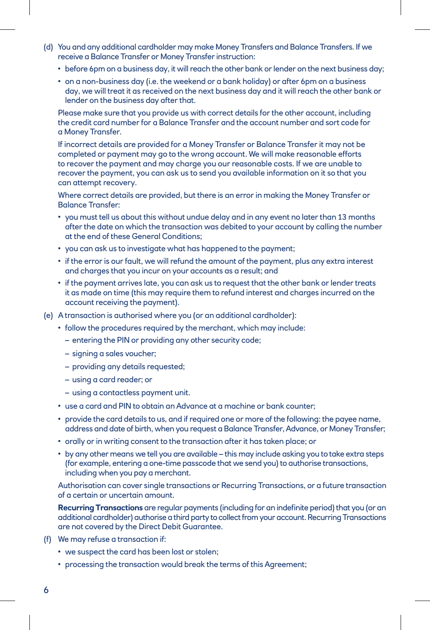- (d) You and any additional cardholder may make Money Transfers and Balance Transfers. If we receive a Balance Transfer or Money Transfer instruction:
	- before 6pm on a business day, it will reach the other bank or lender on the next business day;
	- on a non-business day (i.e. the weekend or a bank holiday) or after 6pm on a business day, we will treat it as received on the next business day and it will reach the other bank or lender on the business day after that.

 Please make sure that you provide us with correct details for the other account, including the credit card number for a Balance Transfer and the account number and sort code for a Money Transfer.

 If incorrect details are provided for a Money Transfer or Balance Transfer it may not be completed or payment may go to the wrong account. We will make reasonable efforts to recover the payment and may charge you our reasonable costs. If we are unable to recover the payment, you can ask us to send you available information on it so that you can attempt recovery.

 Where correct details are provided, but there is an error in making the Money Transfer or Balance Transfer:

- you must tell us about this without undue delay and in any event no later than 13 months after the date on which the transaction was debited to your account by calling the number at the end of these General Conditions;
- you can ask us to investigate what has happened to the payment;
- if the error is our fault, we will refund the amount of the payment, plus any extra interest and charges that you incur on your accounts as a result; and
- if the payment arrives late, you can ask us to request that the other bank or lender treats it as made on time (this may require them to refund interest and charges incurred on the account receiving the payment).
- (e) A transaction is authorised where you (or an additional cardholder):
	- follow the procedures required by the merchant, which may include:
		- entering the PIN or providing any other security code;
		- signing a sales voucher;
		- providing any details requested;
		- using a card reader; or
		- using a contactless payment unit.
	- use a card and PIN to obtain an Advance at a machine or bank counter;
	- provide the card details to us, and if required one or more of the following: the payee name, address and date of birth, when you request a Balance Transfer, Advance, or Money Transfer;
	- orally or in writing consent to the transaction after it has taken place; or
	- by any other means we tell you are available this may include asking you to take extra steps (for example, entering a one-time passcode that we send you) to authorise transactions, including when you pay a merchant.

 Authorisation can cover single transactions or Recurring Transactions, or a future transaction of a certain or uncertain amount.

 **Recurring Transactions** are regular payments (including for an indefinite period) that you (or an additional cardholder) authorise a third party to collect from your account. Recurring Transactions are not covered by the Direct Debit Guarantee.

- (f) We may refuse a transaction if:
	- we suspect the card has been lost or stolen;
	- processing the transaction would break the terms of this Agreement;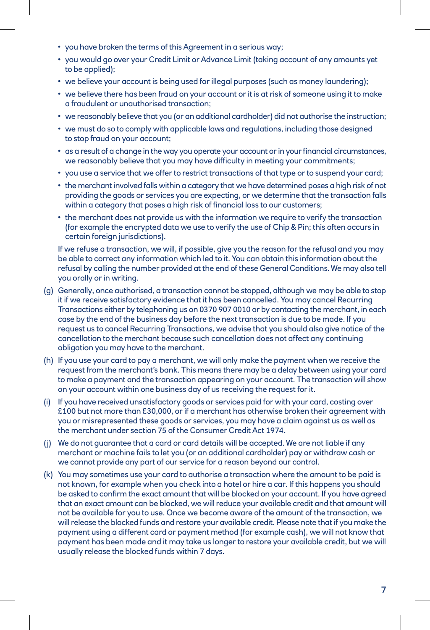- you have broken the terms of this Agreement in a serious way;
- you would go over your Credit Limit or Advance Limit (taking account of any amounts yet to be applied);
- we believe your account is being used for illegal purposes (such as money laundering);
- we believe there has been fraud on your account or it is at risk of someone using it to make a fraudulent or unauthorised transaction;
- we reasonably believe that you (or an additional cardholder) did not authorise the instruction;
- we must do so to comply with applicable laws and regulations, including those designed to stop fraud on your account;
- as a result of a change in the way you operate your account or in your financial circumstances, we reasonably believe that you may have difficulty in meeting your commitments;
- you use a service that we offer to restrict transactions of that type or to suspend your card;
- the merchant involved falls within a category that we have determined poses a high risk of not providing the goods or services you are expecting, or we determine that the transaction falls within a category that poses a high risk of financial loss to our customers;
- the merchant does not provide us with the information we require to verify the transaction (for example the encrypted data we use to verify the use of Chip & Pin; this often occurs in certain foreign jurisdictions).

 If we refuse a transaction, we will, if possible, give you the reason for the refusal and you may be able to correct any information which led to it. You can obtain this information about the refusal by calling the number provided at the end of these General Conditions. We may also tell you orally or in writing.

- (g) Generally, once authorised, a transaction cannot be stopped, although we may be able to stop it if we receive satisfactory evidence that it has been cancelled. You may cancel Recurring Transactions either by telephoning us on 0370 907 0010 or by contacting the merchant, in each case by the end of the business day before the next transaction is due to be made. If you request us to cancel Recurring Transactions, we advise that you should also give notice of the cancellation to the merchant because such cancellation does not affect any continuing obligation you may have to the merchant.
- (h) If you use your card to pay a merchant, we will only make the payment when we receive the request from the merchant's bank. This means there may be a delay between using your card to make a payment and the transaction appearing on your account. The transaction will show on your account within one business day of us receiving the request for it.
- (i) If you have received unsatisfactory goods or services paid for with your card, costing over £100 but not more than £30,000, or if a merchant has otherwise broken their agreement with you or misrepresented these goods or services, you may have a claim against us as well as the merchant under section 75 of the Consumer Credit Act 1974.
- (j) We do not guarantee that a card or card details will be accepted. We are not liable if any merchant or machine fails to let you (or an additional cardholder) pay or withdraw cash or we cannot provide any part of our service for a reason beyond our control.
- (k) You may sometimes use your card to authorise a transaction where the amount to be paid is not known, for example when you check into a hotel or hire a car. If this happens you should be asked to confirm the exact amount that will be blocked on your account. If you have agreed that an exact amount can be blocked, we will reduce your available credit and that amount will not be available for you to use. Once we become aware of the amount of the transaction, we will release the blocked funds and restore your available credit. Please note that if you make the payment using a different card or payment method (for example cash), we will not know that payment has been made and it may take us longer to restore your available credit, but we will usually release the blocked funds within 7 days.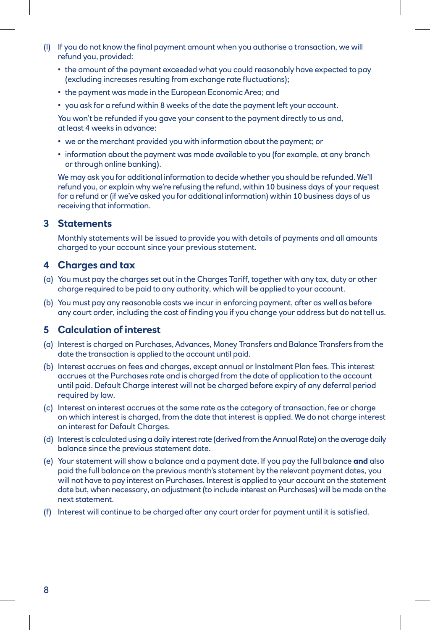- (l) If you do not know the final payment amount when you authorise a transaction, we will refund you, provided:
	- the amount of the payment exceeded what you could reasonably have expected to pay (excluding increases resulting from exchange rate fluctuations);
	- the payment was made in the European Economic Area; and
	- you ask for a refund within 8 weeks of the date the payment left your account.

You won't be refunded if you gave your consent to the payment directly to us and, at least 4 weeks in advance:

- we or the merchant provided you with information about the payment; or
- information about the payment was made available to you (for example, at any branch or through online banking).

We may ask you for additional information to decide whether you should be refunded. We'll refund you, or explain why we're refusing the refund, within 10 business days of your request for a refund or (if we've asked you for additional information) within 10 business days of us receiving that information.

#### **3 Statements**

 Monthly statements will be issued to provide you with details of payments and all amounts charged to your account since your previous statement.

#### **4 Charges and tax**

- (a) You must pay the charges set out in the Charges Tariff, together with any tax, duty or other charge required to be paid to any authority, which will be applied to your account.
- (b) You must pay any reasonable costs we incur in enforcing payment, after as well as before any court order, including the cost of finding you if you change your address but do not tell us.

#### **5 Calculation of interest**

- (a) Interest is charged on Purchases, Advances, Money Transfers and Balance Transfers from the date the transaction is applied to the account until paid.
- (b) Interest accrues on fees and charges, except annual or Instalment Plan fees. This interest accrues at the Purchases rate and is charged from the date of application to the account until paid. Default Charge interest will not be charged before expiry of any deferral period required by law.
- (c) Interest on interest accrues at the same rate as the category of transaction, fee or charge on which interest is charged, from the date that interest is applied. We do not charge interest on interest for Default Charges.
- (d) Interest is calculated using a daily interest rate (derived from the Annual Rate) on the average daily balance since the previous statement date.
- (e) Your statement will show a balance and a payment date. If you pay the full balance **and** also paid the full balance on the previous month's statement by the relevant payment dates, you will not have to pay interest on Purchases. Interest is applied to your account on the statement date but, when necessary, an adjustment (to include interest on Purchases) will be made on the next statement.
- (f) Interest will continue to be charged after any court order for payment until it is satisfied.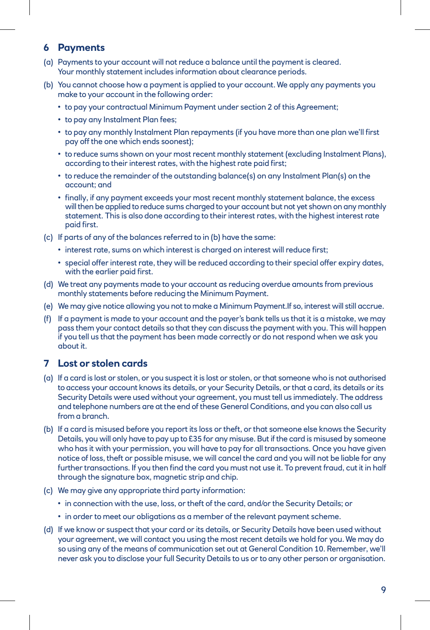#### **6 Payments**

- (a) Payments to your account will not reduce a balance until the payment is cleared. Your monthly statement includes information about clearance periods.
- (b) You cannot choose how a payment is applied to your account. We apply any payments you make to your account in the following order:
	- to pay your contractual Minimum Payment under section 2 of this Agreement;
	- to pay any Instalment Plan fees;
	- to pay any monthly Instalment Plan repayments (if you have more than one plan we'll first pay off the one which ends soonest);
	- to reduce sums shown on your most recent monthly statement (excluding Instalment Plans), according to their interest rates, with the highest rate paid first;
	- to reduce the remainder of the outstanding balance(s) on any Instalment Plan(s) on the account; and
	- finally, if any payment exceeds your most recent monthly statement balance, the excess will then be applied to reduce sums charged to your account but not yet shown on any monthly statement. This is also done according to their interest rates, with the highest interest rate paid first.
- (c) If parts of any of the balances referred to in (b) have the same:
	- interest rate, sums on which interest is charged on interest will reduce first;
	- special offer interest rate, they will be reduced according to their special offer expiry dates, with the earlier paid first.
- (d) We treat any payments made to your account as reducing overdue amounts from previous monthly statements before reducing the Minimum Payment.
- (e) We may give notice allowing you not to make a Minimum Payment.If so, interest will still accrue.
- (f) If a payment is made to your account and the payer's bank tells us that it is a mistake, we may pass them your contact details so that they can discuss the payment with you. This will happen if you tell us that the payment has been made correctly or do not respond when we ask you about it.

#### **7 Lost or stolen cards**

- (a) If a card is lost or stolen, or you suspect it is lost or stolen, or that someone who is not authorised to access your account knows its details, or your Security Details, or that a card, its details or its Security Details were used without your agreement, you must tell us immediately. The address and telephone numbers are at the end of these General Conditions, and you can also call us from a branch.
- (b) If a card is misused before you report its loss or theft, or that someone else knows the Security Details, you will only have to pay up to £35 for any misuse. But if the card is misused by someone who has it with your permission, you will have to pay for all transactions. Once you have given notice of loss, theft or possible misuse, we will cancel the card and you will not be liable for any further transactions. If you then find the card you must not use it. To prevent fraud, cut it in half through the signature box, magnetic strip and chip.
- (c) We may give any appropriate third party information:
	- in connection with the use, loss, or theft of the card, and/or the Security Details; or
	- in order to meet our obligations as a member of the relevant payment scheme.
- (d) If we know or suspect that your card or its details, or Security Details have been used without your agreement, we will contact you using the most recent details we hold for you. We may do so using any of the means of communication set out at General Condition 10. Remember, we'll never ask you to disclose your full Security Details to us or to any other person or organisation.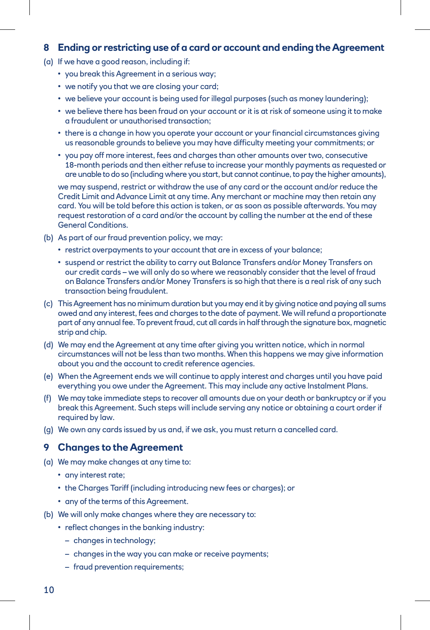#### **8 Ending or restricting use of a card or account and ending the Agreement**

- (a) If we have a good reason, including if:
	- you break this Agreement in a serious way;
	- we notify you that we are closing your card;
	- we believe your account is being used for illegal purposes (such as money laundering);
	- we believe there has been fraud on your account or it is at risk of someone using it to make a fraudulent or unauthorised transaction;
	- there is a change in how you operate your account or your financial circumstances giving us reasonable grounds to believe you may have difficulty meeting your commitments; or
	- you pay off more interest, fees and charges than other amounts over two, consecutive 18-month periods and then either refuse to increase your monthly payments as requested or are unable to do so (including where you start, but cannot continue, to pay the higher amounts),

 we may suspend, restrict or withdraw the use of any card or the account and/or reduce the Credit Limit and Advance Limit at any time. Any merchant or machine may then retain any card. You will be told before this action is taken, or as soon as possible afterwards. You may request restoration of a card and/or the account by calling the number at the end of these General Conditions.

- (b) As part of our fraud prevention policy, we may:
	- restrict overpayments to your account that are in excess of your balance;
	- suspend or restrict the ability to carry out Balance Transfers and/or Money Transfers on our credit cards – we will only do so where we reasonably consider that the level of fraud on Balance Transfers and/or Money Transfers is so high that there is a real risk of any such transaction being fraudulent.
- (c) This Agreement has no minimum duration but you may end it by giving notice and paying all sums owed and any interest, fees and charges to the date of payment. We will refund a proportionate part of any annual fee. To prevent fraud, cut all cards in half through the signature box, magnetic strip and chip.
- (d) We may end the Agreement at any time after giving you written notice, which in normal circumstances will not be less than two months. When this happens we may give information about you and the account to credit reference agencies.
- (e) When the Agreement ends we will continue to apply interest and charges until you have paid everything you owe under the Agreement. This may include any active Instalment Plans.
- (f) We may take immediate steps to recover all amounts due on your death or bankruptcy or if you break this Agreement. Such steps will include serving any notice or obtaining a court order if required by law.
- (g) We own any cards issued by us and, if we ask, you must return a cancelled card.

#### **9 Changes to the Agreement**

- (a) We may make changes at any time to:
	- any interest rate;
	- the Charges Tariff (including introducing new fees or charges); or
	- any of the terms of this Agreement.
- (b) We will only make changes where they are necessary to:
	- reflect changes in the banking industry:
		- changes in technology;
		- changes in the way you can make or receive payments;
		- fraud prevention requirements;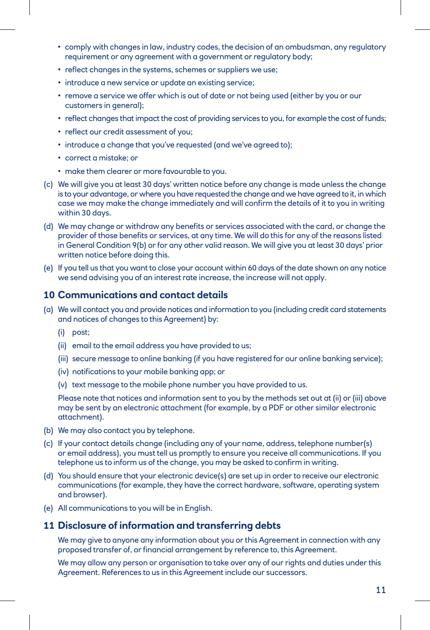- comply with changes in law, industry codes, the decision of an ombudsman, any regulatory requirement or any agreement with a government or regulatory body;
- reflect changes in the systems, schemes or suppliers we use;
- introduce a new service or update an existing service;
- remove a service we offer which is out of date or not being used (either by you or our customers in general);
- reflect changes that impact the cost of providing services to you, for example the cost of funds;
- reflect our credit assessment of you;
- introduce a change that you've requested (and we've agreed to);
- correct a mistake; or
- make them clearer or more favourable to you.
- (c) We will give you at least 30 days' written notice before any change is made unless the change is to your advantage, or where you have requested the change and we have agreed to it, in which case we may make the change immediately and will confirm the details of it to you in writing within 30 days.
- (d) We may change or withdraw any benefits or services associated with the card, or change the provider of those benefits or services, at any time. We will do this for any of the reasons listed in General Condition 9(b) or for any other valid reason. We will give you at least 30 days' prior written notice before doing this.
- (e) If you tell us that you want to close your account within 60 days of the date shown on any notice we send advising you of an interest rate increase, the increase will not apply.

#### **10 Communications and contact details**

- (a) We will contact you and provide notices and information to you (including credit card statements and notices of changes to this Agreement) by:
	- (i) post;
	- (ii) email to the email address you have provided to us;
	- (iii) secure message to online banking (if you have registered for our online banking service);
	- (iv) notifications to your mobile banking app; or
	- (v) text message to the mobile phone number you have provided to us.

 Please note that notices and information sent to you by the methods set out at (ii) or (iii) above may be sent by an electronic attachment (for example, by a PDF or other similar electronic attachment).

- (b) We may also contact you by telephone.
- (c) If your contact details change (including any of your name, address, telephone number(s) or email address), you must tell us promptly to ensure you receive all communications. If you telephone us to inform us of the change, you may be asked to confirm in writing.
- (d) You should ensure that your electronic device(s) are set up in order to receive our electronic communications (for example, they have the correct hardware, software, operating system and browser).
- (e) All communications to you will be in English.

#### **11 Disclosure of information and transferring debts**

 We may give to anyone any information about you or this Agreement in connection with any proposed transfer of, or financial arrangement by reference to, this Agreement.

 We may allow any person or organisation to take over any of our rights and duties under this Agreement. References to us in this Agreement include our successors.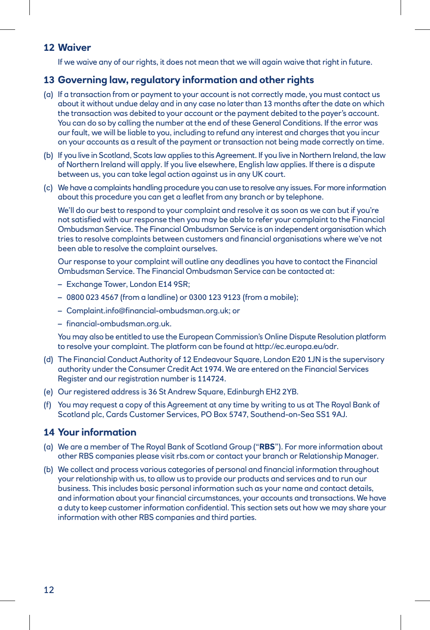#### **12 Waiver**

If we waive any of our rights, it does not mean that we will again waive that right in future.

#### **13 Governing law, regulatory information and other rights**

- (a) If a transaction from or payment to your account is not correctly made, you must contact us about it without undue delay and in any case no later than 13 months after the date on which the transaction was debited to your account or the payment debited to the payer's account. You can do so by calling the number at the end of these General Conditions. If the error was our fault, we will be liable to you, including to refund any interest and charges that you incur on your accounts as a result of the payment or transaction not being made correctly on time.
- (b) If you live in Scotland, Scots law applies to this Agreement. If you live in Northern Ireland, the law of Northern Ireland will apply. If you live elsewhere, English law applies. If there is a dispute between us, you can take legal action against us in any UK court.
- (c) We have a complaints handling procedure you can use to resolve any issues. For more information about this procedure you can get a leaflet from any branch or by telephone.

 We'll do our best to respond to your complaint and resolve it as soon as we can but if you're not satisfied with our response then you may be able to refer your complaint to the Financial Ombudsman Service. The Financial Ombudsman Service is an independent organisation which tries to resolve complaints between customers and financial organisations where we've not been able to resolve the complaint ourselves.

 Our response to your complaint will outline any deadlines you have to contact the Financial Ombudsman Service. The Financial Ombudsman Service can be contacted at:

- Exchange Tower, London E14 9SR;
- 0800 023 4567 (from a landline) or 0300 123 9123 (from a mobile);
- Complaint.info@financial-ombudsman.org.uk; or
- financial-ombudsman.org.uk.

 You may also be entitled to use the European Commission's Online Dispute Resolution platform to resolve your complaint. The platform can be found at http://ec.europa.eu/odr.

- (d) The Financial Conduct Authority of 12 Endeavour Square, London E20 1JN is the supervisory authority under the Consumer Credit Act 1974. We are entered on the Financial Services Register and our registration number is 114724.
- (e) Our registered address is 36 St Andrew Square, Edinburgh EH2 2YB.
- (f) You may request a copy of this Agreement at any time by writing to us at The Royal Bank of Scotland plc, Cards Customer Services, PO Box 5747, Southend-on-Sea SS1 9AJ.

#### **14 Your information**

- (a) We are a member of The Royal Bank of Scotland Group ("**RBS**"). For more information about other RBS companies please visit rbs.com or contact your branch or Relationship Manager.
- (b) We collect and process various categories of personal and financial information throughout your relationship with us, to allow us to provide our products and services and to run our business. This includes basic personal information such as your name and contact details, and information about your financial circumstances, your accounts and transactions. We have a duty to keep customer information confidential. This section sets out how we may share your information with other RBS companies and third parties.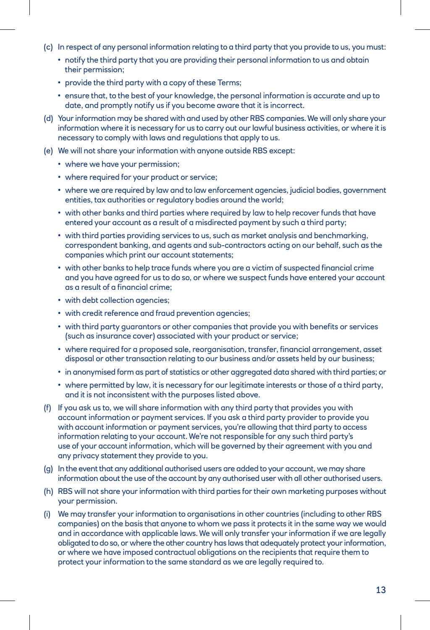- (c) In respect of any personal information relating to a third party that you provide to us, you must:
	- notify the third party that you are providing their personal information to us and obtain their permission;
	- provide the third party with a copy of these Terms;
	- ensure that, to the best of your knowledge, the personal information is accurate and up to date, and promptly notify us if you become aware that it is incorrect.
- (d) Your information may be shared with and used by other RBS companies. We will only share your information where it is necessary for us to carry out our lawful business activities, or where it is necessary to comply with laws and regulations that apply to us.
- (e) We will not share your information with anyone outside RBS except:
	- where we have your permission;
	- where required for your product or service;
	- where we are required by law and to law enforcement agencies, judicial bodies, government entities, tax authorities or regulatory bodies around the world;
	- with other banks and third parties where required by law to help recover funds that have entered your account as a result of a misdirected payment by such a third party;
	- with third parties providing services to us, such as market analysis and benchmarking, correspondent banking, and agents and sub-contractors acting on our behalf, such as the companies which print our account statements;
	- with other banks to help trace funds where you are a victim of suspected financial crime and you have agreed for us to do so, or where we suspect funds have entered your account as a result of a financial crime;
	- with debt collection agencies;
	- with credit reference and fraud prevention agencies;
	- with third party guarantors or other companies that provide you with benefits or services (such as insurance cover) associated with your product or service;
	- where required for a proposed sale, reorganisation, transfer, financial arrangement, asset disposal or other transaction relating to our business and/or assets held by our business;
	- in anonymised form as part of statistics or other aggregated data shared with third parties; or
	- where permitted by law, it is necessary for our legitimate interests or those of a third party, and it is not inconsistent with the purposes listed above.
- (f) If you ask us to, we will share information with any third party that provides you with account information or payment services. If you ask a third party provider to provide you with account information or payment services, you're allowing that third party to access information relating to your account. We're not responsible for any such third party's use of your account information, which will be governed by their agreement with you and any privacy statement they provide to you.
- (g) In the event that any additional authorised users are added to your account, we may share information about the use of the account by any authorised user with all other authorised users.
- (h) RBS will not share your information with third parties for their own marketing purposes without your permission.
- (i) We may transfer your information to organisations in other countries (including to other RBS companies) on the basis that anyone to whom we pass it protects it in the same way we would and in accordance with applicable laws. We will only transfer your information if we are legally obligated to do so, or where the other country has laws that adequately protect your information, or where we have imposed contractual obligations on the recipients that require them to protect your information to the same standard as we are legally required to.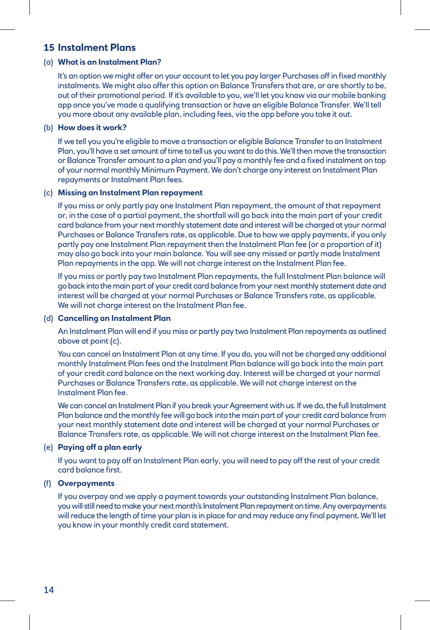#### **15 Instalment Plans**

#### (a) **What is an Instalment Plan?**

It's an option we might offer on your account to let you pay larger Purchases off in fixed monthly instalments. We might also offer this option on Balance Transfers that are, or are shortly to be, out of their promotional period. If it's available to you, we'll let you know via our mobile banking app once you've made a qualifying transaction or have an eligible Balance Transfer. We'll tell you more about any available plan, including fees, via the app before you take it out.

#### (b) **How does it work?**

If we tell you you're eligible to move a transaction or eligible Balance Transfer to an Instalment Plan, you'll have a set amount of time to tell us you want to do this. We'll then move the transaction or Balance Transfer amount to a plan and you'll pay a monthly fee and a fixed instalment on top of your normal monthly Minimum Payment. We don't charge any interest on Instalment Plan repayments or Instalment Plan fees.

#### (c) **Missing an Instalment Plan repayment**

If you miss or only partly pay one Instalment Plan repayment, the amount of that repayment or, in the case of a partial payment, the shortfall will go back into the main part of your credit card balance from your next monthly statement date and interest will be charged at your normal Purchases or Balance Transfers rate, as applicable. Due to how we apply payments, if you only partly pay one Instalment Plan repayment then the Instalment Plan fee (or a proportion of it) may also go back into your main balance. You will see any missed or partly made Instalment Plan repayments in the app. We will not charge interest on the Instalment Plan fee.

If you miss or partly pay two Instalment Plan repayments, the full Instalment Plan balance will go back into the main part of your credit card balance from your next monthly statement date and interest will be charged at your normal Purchases or Balance Transfers rate, as applicable. We will not charge interest on the Instalment Plan fee.

#### (d) **Cancelling an Instalment Plan**

An Instalment Plan will end if you miss or partly pay two Instalment Plan repayments as outlined above at point (c).

You can cancel an Instalment Plan at any time. If you do, you will not be charged any additional monthly Instalment Plan fees and the Instalment Plan balance will go back into the main part of your credit card balance on the next working day. Interest will be charged at your normal Purchases or Balance Transfers rate, as applicable. We will not charge interest on the Instalment Plan fee.

We can cancel an Instalment Plan if you break your Agreement with us. If we do, the full Instalment Plan balance and the monthly fee will go back into the main part of your credit card balance from your next monthly statement date and interest will be charged at your normal Purchases or Balance Transfers rate, as applicable. We will not charge interest on the Instalment Plan fee.

#### (e) **Paying off a plan early**

If you want to pay off an Instalment Plan early, you will need to pay off the rest of your credit card balance first.

#### (f) **Overpayments**

If you overpay and we apply a payment towards your outstanding Instalment Plan balance, you will still need to make your next month's Instalment Plan repayment on time. Any overpayments will reduce the length of time your plan is in place for and may reduce any final payment. We'll let you know in your monthly credit card statement.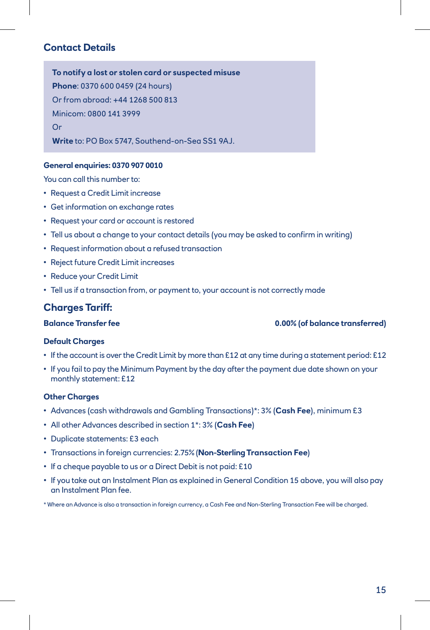#### **Contact Details**

**To notify a lost or stolen card or suspected misuse Phone**: 0370 600 0459 (24 hours) Or from abroad: +44 1268 500 813 Minicom: 0800 141 3999 Or **Write** to: PO Box 5747, Southend-on-Sea SS1 9AJ.

#### **General enquiries: 0370 907 0010**

You can call this number to:

- Request a Credit Limit increase
- Get information on exchange rates
- Request your card or account is restored
- Tell us about a change to your contact details (you may be asked to confirm in writing)
- Request information about a refused transaction
- Reject future Credit Limit increases
- Reduce your Credit Limit
- Tell us if a transaction from, or payment to, your account is not correctly made

#### **Charges Tariff:**

**Balance Transfer fee 0.00% (of balance transferred)**

#### **Default Charges**

- If the account is over the Credit Limit by more than £12 at any time during a statement period: £12
- If you fail to pay the Minimum Payment by the day after the payment due date shown on your monthly statement: £12

#### **Other Charges**

- Advances (cash withdrawals and Gambling Transactions)\*: 3% (**Cash Fee**), minimum £3
- All other Advances described in section 1\*: 3% (**Cash Fee**)
- Duplicate statements: £3 each
- Transactions in foreign currencies: 2.75% (**Non-Sterling Transaction Fee**)
- If a cheque payable to us or a Direct Debit is not paid: £10
- If you take out an Instalment Plan as explained in General Condition 15 above, you will also pay an Instalment Plan fee.

\* Where an Advance is also a transaction in foreign currency, a Cash Fee and Non-Sterling Transaction Fee will be charged.